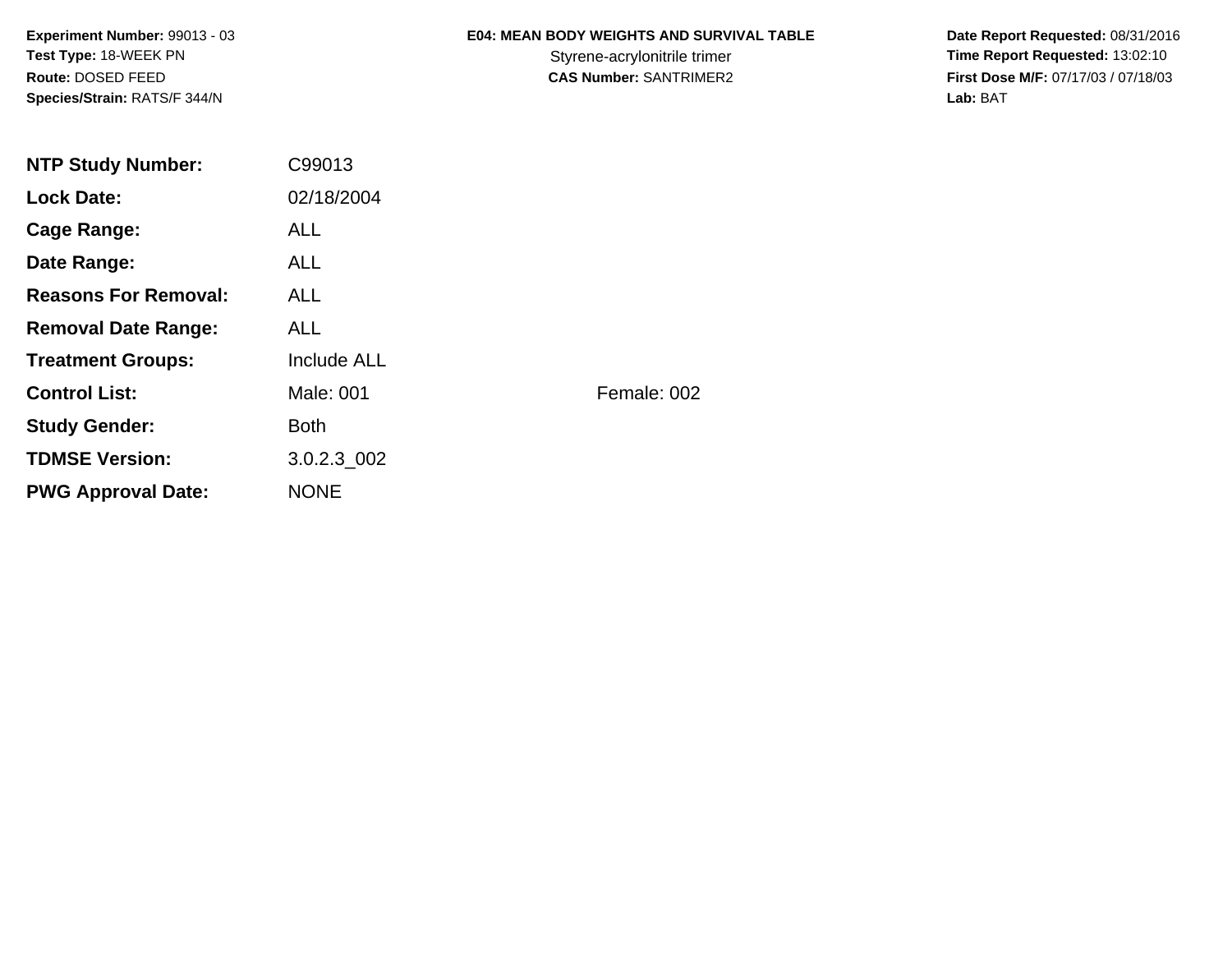**Experiment Number:** 99013 - 03**Test Type:** 18-WEEK PN**Route:** DOSED FEED**Species/Strain:** RATS/F 344/N

# **E04: MEAN BODY WEIGHTS AND SURVIVAL TABLE**

 **Date Report Requested:** 08/31/2016 Styrene-acrylonitrile trimer<br>
CAS Number: SANTRIMER2<br>
CAS Number: SANTRIMER2<br> **Time Report Requested:** 13:02:10 **First Dose M/F:** 07/17/03 / 07/18/03<br>Lab: BAT **Lab:** BAT

| <b>NTP Study Number:</b>    | C99013      |             |
|-----------------------------|-------------|-------------|
| <b>Lock Date:</b>           | 02/18/2004  |             |
| Cage Range:                 | <b>ALL</b>  |             |
| Date Range:                 | <b>ALL</b>  |             |
| <b>Reasons For Removal:</b> | ALL.        |             |
| <b>Removal Date Range:</b>  | ALL.        |             |
| <b>Treatment Groups:</b>    | Include ALL |             |
| <b>Control List:</b>        | Male: 001   | Female: 002 |
| <b>Study Gender:</b>        | <b>Both</b> |             |
| <b>TDMSE Version:</b>       | 3.0.2.3_002 |             |
| <b>PWG Approval Date:</b>   | <b>NONE</b> |             |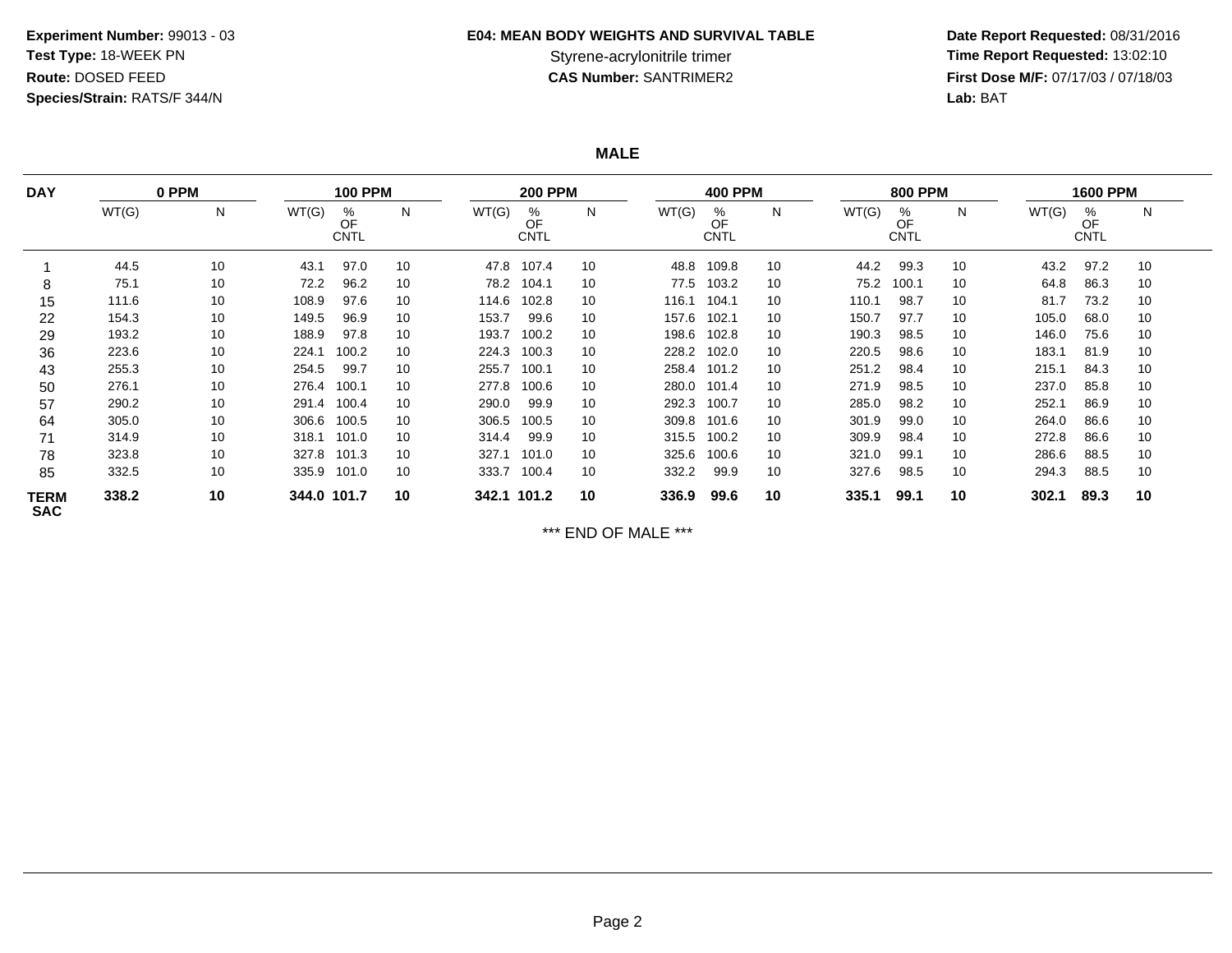# **E04: MEAN BODY WEIGHTS AND SURVIVAL TABLE**

 **Date Report Requested:** 08/31/2016 Styrene-acrylonitrile trimer<br>
CAS Number: SANTRIMER2<br>
CAS Number: SANTRIMER2<br>
Tirst Dose M/F: 07/17/03 / 07/18/03 **First Dose M/F:** 07/17/03 / 07/18/03<br>Lab: BAT **Lab:** BAT

**MALE**

| <b>DAY</b><br>0 PPM       |       | <b>100 PPM</b> |             |                        | <b>200 PPM</b> |             |                        | <b>400 PPM</b> |       |                        | <b>800 PPM</b> |       | <b>1600 PPM</b>        |    |       |                        |    |
|---------------------------|-------|----------------|-------------|------------------------|----------------|-------------|------------------------|----------------|-------|------------------------|----------------|-------|------------------------|----|-------|------------------------|----|
|                           | WT(G) | N              | WT(G)       | %<br>OF<br><b>CNTL</b> | $\mathsf{N}$   | WT(G)       | %<br>OF<br><b>CNTL</b> | N              | WT(G) | %<br>OF<br><b>CNTL</b> | N              | WT(G) | %<br>OF<br><b>CNTL</b> | N  | WT(G) | %<br>OF<br><b>CNTL</b> | N  |
|                           | 44.5  | 10             | 43.1        | 97.0                   | 10             | 47.8        | 107.4                  | 10             | 48.8  | 109.8                  | 10             | 44.2  | 99.3                   | 10 | 43.2  | 97.2                   | 10 |
| 8                         | 75.1  | 10             | 72.2        | 96.2                   | 10             | 78.2        | 104.1                  | 10             | 77.5  | 103.2                  | 10             | 75.2  | 100.1                  | 10 | 64.8  | 86.3                   | 10 |
| 15                        | 111.6 | 10             | 108.9       | 97.6                   | 10             | 114.6       | 102.8                  | 10             | 116.1 | 104.1                  | 10             | 110.1 | 98.7                   | 10 | 81.7  | 73.2                   | 10 |
| 22                        | 154.3 | 10             | 149.5       | 96.9                   | 10             | 153.7       | 99.6                   | 10             | 157.6 | 102.1                  | 10             | 150.7 | 97.7                   | 10 | 105.0 | 68.0                   | 10 |
| 29                        | 193.2 | 10             | 188.9       | 97.8                   | 10             | 193.7       | 100.2                  | 10             | 198.6 | 102.8                  | 10             | 190.3 | 98.5                   | 10 | 146.0 | 75.6                   | 10 |
| 36                        | 223.6 | 10             | 224.1       | 100.2                  | 10             | 224.3       | 100.3                  | 10             | 228.2 | 102.0                  | 10             | 220.5 | 98.6                   | 10 | 183.1 | 81.9                   | 10 |
| 43                        | 255.3 | 10             | 254.5       | 99.7                   | 10             | 255.7       | 100.1                  | 10             | 258.4 | 101.2                  | 10             | 251.2 | 98.4                   | 10 | 215.1 | 84.3                   | 10 |
| 50                        | 276.1 | 10             | 276.4       | 100.1                  | 10             | 277.8       | 100.6                  | 10             | 280.0 | 101.4                  | 10             | 271.9 | 98.5                   | 10 | 237.0 | 85.8                   | 10 |
| 57                        | 290.2 | 10             | 291.4       | 100.4                  | 10             | 290.0       | 99.9                   | 10             | 292.3 | 100.7                  | 10             | 285.0 | 98.2                   | 10 | 252.1 | 86.9                   | 10 |
| 64                        | 305.0 | 10             | 306.6       | 100.5                  | 10             | 306.5       | 100.5                  | 10             | 309.8 | 101.6                  | 10             | 301.9 | 99.0                   | 10 | 264.0 | 86.6                   | 10 |
| 71                        | 314.9 | 10             | 318.1       | 101.0                  | 10             | 314.4       | 99.9                   | 10             | 315.5 | 100.2                  | 10             | 309.9 | 98.4                   | 10 | 272.8 | 86.6                   | 10 |
| 78                        | 323.8 | 10             | 327.8       | 101.3                  | 10             | 327.1       | 101.0                  | 10             | 325.6 | 100.6                  | 10             | 321.0 | 99.1                   | 10 | 286.6 | 88.5                   | 10 |
| 85                        | 332.5 | 10             | 335.9       | 101.0                  | 10             | 333.7       | 100.4                  | 10             | 332.2 | 99.9                   | 10             | 327.6 | 98.5                   | 10 | 294.3 | 88.5                   | 10 |
| <b>TERM</b><br><b>SAC</b> | 338.2 | 10             | 344.0 101.7 |                        | 10             | 342.1 101.2 |                        | 10             | 336.9 | 99.6                   | 10             | 335.1 | 99.1                   | 10 | 302.1 | 89.3                   | 10 |

\*\*\* END OF MALE \*\*\*